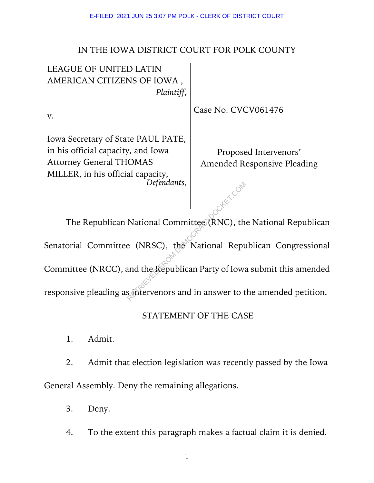## IN THE IOWA DISTRICT COURT FOR POLK COUNTY

| <b>LEAGUE OF UNITED LATIN</b>      |                                    |
|------------------------------------|------------------------------------|
| AMERICAN CITIZENS OF IOWA,         |                                    |
| Plaintiff,                         |                                    |
| $V_{\star}$                        | Case No. CVCV061476                |
| Iowa Secretary of State PAUL PATE, |                                    |
| in his official capacity, and Iowa | Proposed Intervenors'              |
| <b>Attorney General THOMAS</b>     | <b>Amended Responsive Pleading</b> |
| MILLER, in his official capacity,  |                                    |
| Defendants,                        |                                    |
|                                    |                                    |

The Republican National Committee (RNC), the National Republican Senatorial Committee (NRSC), the National Republican Congressional Committee (NRCC), and the Republican Party of Iowa submit this amended responsive pleading as intervenors and in answer to the amended petition. Defenaants,<br>
National Committee (RNC), the<br>
e (NRSC), the National Repu<br>
and the Republican Party of Iowa<br>
s intervenors and in answer to t

## STATEMENT OF THE CASE

1. Admit.

2. Admit that election legislation was recently passed by the Iowa General Assembly. Deny the remaining allegations.

3. Deny.

4. To the extent this paragraph makes a factual claim it is denied.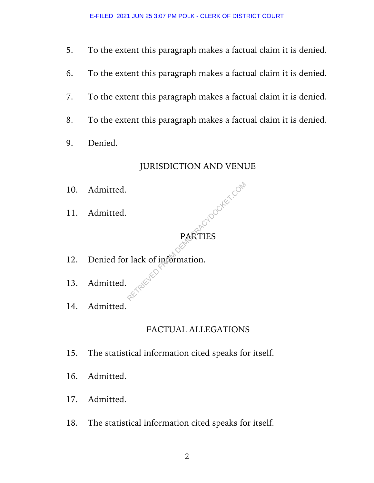- 5. To the extent this paragraph makes a factual claim it is denied.
- 6. To the extent this paragraph makes a factual claim it is denied.
- 7. To the extent this paragraph makes a factual claim it is denied.
- 8. To the extent this paragraph makes a factual claim it is denied.
- 9. Denied.

## JURISDICTION AND VENUE

ROOCKET.COM

- 10. Admitted.
- 11. Admitted.

# PARTIES

- 12. Denied for lack of information.
- 13. Admitted.
- 14. Admitted.

# FACTUAL ALLEGATIONS

- 15. The statistical information cited speaks for itself.
- 16. Admitted.
- 17. Admitted.
- 18. The statistical information cited speaks for itself.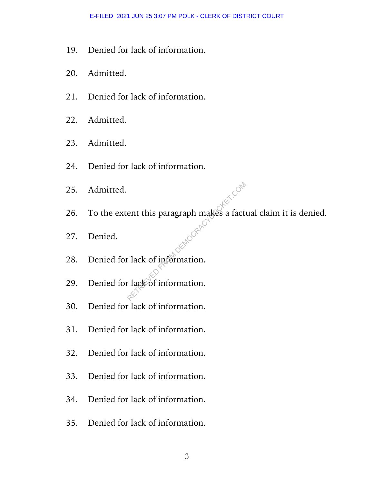- 19. Denied for lack of information.
- 20. Admitted.
- 21. Denied for lack of information.
- 22. Admitted.
- 23. Admitted.
- 24. Denied for lack of information.
- 25. Admitted.
- 26. To the extent this paragraph makes a factual claim it is denied. ent this paragraph makes a fact
- 27. Denied.
- 28. Denied for lack of information.
- 29. Denied for lack of information.
- 30. Denied for lack of information.
- 31. Denied for lack of information.
- 32. Denied for lack of information.
- 33. Denied for lack of information.
- 34. Denied for lack of information.
- 35. Denied for lack of information.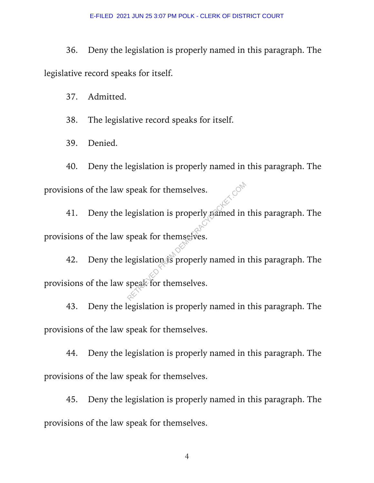36. Deny the legislation is properly named in this paragraph. The legislative record speaks for itself.

37. Admitted.

38. The legislative record speaks for itself.

39. Denied.

40. Deny the legislation is properly named in this paragraph. The provisions of the law speak for themselves.

41. Deny the legislation is properly named in this paragraph. The provisions of the law speak for themselves.

42. Deny the legislation is properly named in this paragraph. The provisions of the law speak for themselves. Speak for themselves.<br>
Regislation is properly paimed in<br>
speak for themselves.<br>
Regislation is properly named in<br>
speak for themselves.

43. Deny the legislation is properly named in this paragraph. The provisions of the law speak for themselves.

44. Deny the legislation is properly named in this paragraph. The provisions of the law speak for themselves.

45. Deny the legislation is properly named in this paragraph. The provisions of the law speak for themselves.

4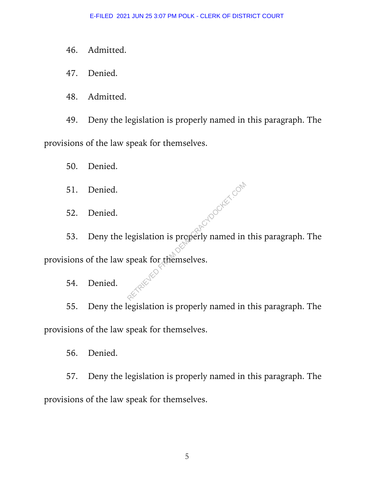- 46. Admitted.
- 47. Denied.
- 48. Admitted.

49. Deny the legislation is properly named in this paragraph. The provisions of the law speak for themselves.

50. Denied.

- 51. Denied.
- 52. Denied.
- 53. Deny the legislation is properly named in this paragraph. The provisions of the law speak for themselves. egislation is properly named in
	- 54. Denied.

55. Deny the legislation is properly named in this paragraph. The provisions of the law speak for themselves.

56. Denied.

57. Deny the legislation is properly named in this paragraph. The provisions of the law speak for themselves.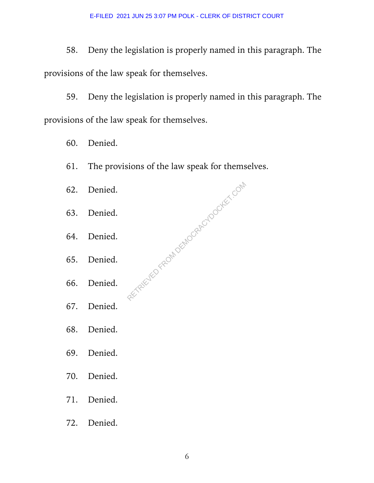58. Deny the legislation is properly named in this paragraph. The provisions of the law speak for themselves.

59. Deny the legislation is properly named in this paragraph. The provisions of the law speak for themselves.

- 60. Denied.
- 61. The provisions of the law speak for themselves.
- 62. Denied. 63. Denied. 64. Denied. 65. Denied. 66. Denied. RETRIEVED FROM DEMOCRACYDOCKET.COM
- 67. Denied.
- 68. Denied.
- 69. Denied.
- 70. Denied.
- 71. Denied.
- 72. Denied.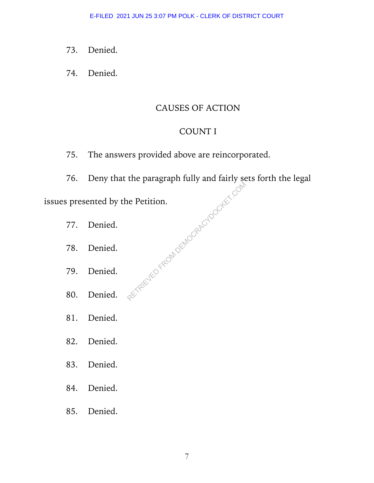- 73. Denied.
- 74. Denied.

### CAUSES OF ACTION

#### COUNT I

- 75. The answers provided above are reincorporated.
- 76. Deny that the paragraph fully and fairly sets forth the legal RETREVED FROM DEMOCRACYDOCKET.COM

issues presented by the Petition.

- 77. Denied.
- 78. Denied.
- 79. Denied.
- 80. Denied.
- 81. Denied.
- 82. Denied.
- 83. Denied.
- 84. Denied.
- 85. Denied.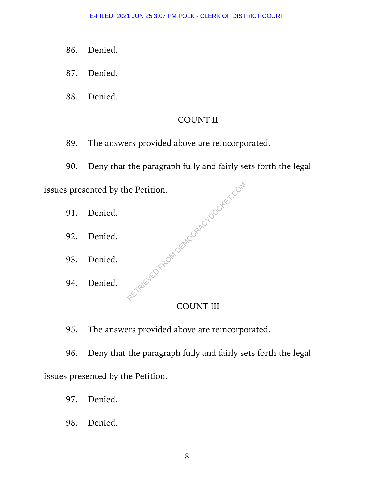- 86. Denied.
- 87. Denied.
- 88. Denied.

## COUNT II

- 89. The answers provided above are reincorporated.
- 90. Deny that the paragraph fully and fairly sets forth the legal TRIEVED FROM DEMOCRACYDOCKET.COM

issues presented by the Petition.

- 91. Denied.
- 92. Denied.
- 93. Denied.
- 94. Denied.

## COUNT III

95. The answers provided above are reincorporated.

96. Deny that the paragraph fully and fairly sets forth the legal issues presented by the Petition.

- 97. Denied.
- 98. Denied.